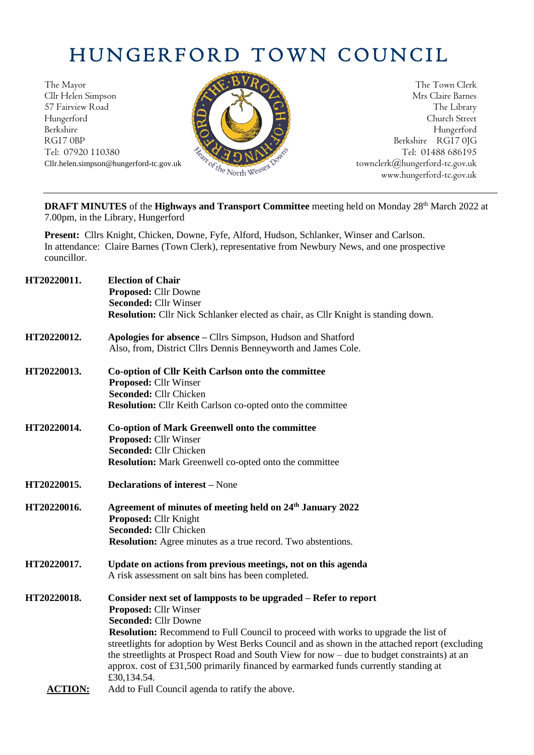# HUNGERFORD TOWN COUNCIL

The Mayor The Town Clerk Cllr Helen Simpson Mrs Claire Barnes 57 Fairview Road The Library (2008) The Library Hungerford Church Street Berkshire Hungerford RG17 0BP Berkshire RG17 0JG



Tel: 07920 110380 Tel: 07920 110380 Tel: 07920 110380 Tel: 01488 686195<br>Cllr.helen.simpson@hungerford-tc.gov.uk<br>www.hungerford-tc.gov.uk<br>www.hungerford-tc.gov.uk<br>www.hungerford-tc.gov.uk Cllr.helen.simpson@hungerford-tc.gov.uk <sup>the</sup> V<sub>C</sub> the North Wess<sup>ext politics</sub> [townclerk@hungerford-tc.gov.uk](mailto:townclerk@hungerford-tc.gov.uk)</sup> www.hungerford-tc.gov.uk

**DRAFT MINUTES** of the Highways and Transport Committee meeting held on Monday 28<sup>th</sup> March 2022 at 7.00pm, in the Library, Hungerford

**Present:** Cllrs Knight, Chicken, Downe, Fyfe, Alford, Hudson, Schlanker, Winser and Carlson. In attendance: Claire Barnes (Town Clerk), representative from Newbury News, and one prospective councillor.

| HT20220011.    | <b>Election of Chair</b><br>Proposed: Cllr Downe<br><b>Seconded: Cllr Winser</b>                                                                                                                                                                                                                                                                                                                                                                                                                                                   |
|----------------|------------------------------------------------------------------------------------------------------------------------------------------------------------------------------------------------------------------------------------------------------------------------------------------------------------------------------------------------------------------------------------------------------------------------------------------------------------------------------------------------------------------------------------|
|                | Resolution: Cllr Nick Schlanker elected as chair, as Cllr Knight is standing down.                                                                                                                                                                                                                                                                                                                                                                                                                                                 |
| HT20220012.    | Apologies for absence - Cllrs Simpson, Hudson and Shatford<br>Also, from, District Cllrs Dennis Benneyworth and James Cole.                                                                                                                                                                                                                                                                                                                                                                                                        |
| HT20220013.    | Co-option of Cllr Keith Carlson onto the committee<br><b>Proposed: Cllr Winser</b><br>Seconded: Cllr Chicken<br>Resolution: Cllr Keith Carlson co-opted onto the committee                                                                                                                                                                                                                                                                                                                                                         |
| HT20220014.    | <b>Co-option of Mark Greenwell onto the committee</b><br>Proposed: Cllr Winser<br>Seconded: Cllr Chicken<br><b>Resolution:</b> Mark Greenwell co-opted onto the committee                                                                                                                                                                                                                                                                                                                                                          |
| HT20220015.    | <b>Declarations of interest – None</b>                                                                                                                                                                                                                                                                                                                                                                                                                                                                                             |
| HT20220016.    | Agreement of minutes of meeting held on 24 <sup>th</sup> January 2022<br>Proposed: Cllr Knight<br>Seconded: Cllr Chicken<br>Resolution: Agree minutes as a true record. Two abstentions.                                                                                                                                                                                                                                                                                                                                           |
| HT20220017.    | Update on actions from previous meetings, not on this agenda<br>A risk assessment on salt bins has been completed.                                                                                                                                                                                                                                                                                                                                                                                                                 |
| HT20220018.    | Consider next set of lampposts to be upgraded - Refer to report<br><b>Proposed: Cllr Winser</b><br><b>Seconded: Cllr Downe</b><br><b>Resolution:</b> Recommend to Full Council to proceed with works to upgrade the list of<br>streetlights for adoption by West Berks Council and as shown in the attached report (excluding<br>the streetlights at Prospect Road and South View for now – due to budget constraints) at an<br>approx. cost of £31,500 primarily financed by earmarked funds currently standing at<br>£30,134.54. |
| <b>ACTION:</b> | Add to Full Council agenda to ratify the above.                                                                                                                                                                                                                                                                                                                                                                                                                                                                                    |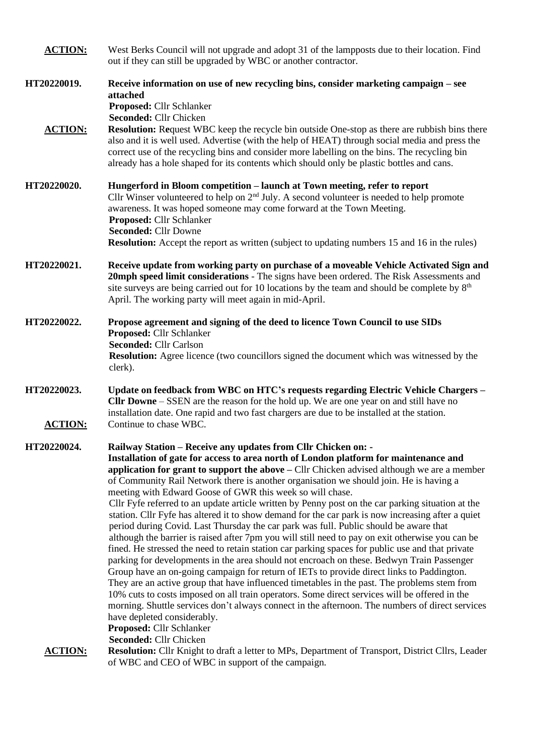| <b>ACTION:</b>                | West Berks Council will not upgrade and adopt 31 of the lampposts due to their location. Find<br>out if they can still be upgraded by WBC or another contractor.                                                                                                                                                                                                                                                                                                                                                                                                                                                                                                                                                                                                                                                                                                                                                                                                                                                                                                                                                                                                                                                                                                                                                                                                                                                                                                                                         |
|-------------------------------|----------------------------------------------------------------------------------------------------------------------------------------------------------------------------------------------------------------------------------------------------------------------------------------------------------------------------------------------------------------------------------------------------------------------------------------------------------------------------------------------------------------------------------------------------------------------------------------------------------------------------------------------------------------------------------------------------------------------------------------------------------------------------------------------------------------------------------------------------------------------------------------------------------------------------------------------------------------------------------------------------------------------------------------------------------------------------------------------------------------------------------------------------------------------------------------------------------------------------------------------------------------------------------------------------------------------------------------------------------------------------------------------------------------------------------------------------------------------------------------------------------|
| HT20220019.                   | Receive information on use of new recycling bins, consider marketing campaign – see<br>attached<br>Proposed: Cllr Schlanker<br>Seconded: Cllr Chicken                                                                                                                                                                                                                                                                                                                                                                                                                                                                                                                                                                                                                                                                                                                                                                                                                                                                                                                                                                                                                                                                                                                                                                                                                                                                                                                                                    |
| <b>ACTION:</b>                | <b>Resolution:</b> Request WBC keep the recycle bin outside One-stop as there are rubbish bins there<br>also and it is well used. Advertise (with the help of HEAT) through social media and press the<br>correct use of the recycling bins and consider more labelling on the bins. The recycling bin<br>already has a hole shaped for its contents which should only be plastic bottles and cans.                                                                                                                                                                                                                                                                                                                                                                                                                                                                                                                                                                                                                                                                                                                                                                                                                                                                                                                                                                                                                                                                                                      |
| HT20220020.                   | Hungerford in Bloom competition - launch at Town meeting, refer to report<br>Cllr Winser volunteered to help on $2nd$ July. A second volunteer is needed to help promote<br>awareness. It was hoped someone may come forward at the Town Meeting.<br>Proposed: Cllr Schlanker<br><b>Seconded: Cllr Downe</b><br><b>Resolution:</b> Accept the report as written (subject to updating numbers 15 and 16 in the rules)                                                                                                                                                                                                                                                                                                                                                                                                                                                                                                                                                                                                                                                                                                                                                                                                                                                                                                                                                                                                                                                                                     |
| HT20220021.                   | Receive update from working party on purchase of a moveable Vehicle Activated Sign and<br>20mph speed limit considerations - The signs have been ordered. The Risk Assessments and<br>site surveys are being carried out for 10 locations by the team and should be complete by 8 <sup>th</sup><br>April. The working party will meet again in mid-April.                                                                                                                                                                                                                                                                                                                                                                                                                                                                                                                                                                                                                                                                                                                                                                                                                                                                                                                                                                                                                                                                                                                                                |
| HT20220022.                   | Propose agreement and signing of the deed to licence Town Council to use SIDs<br>Proposed: Cllr Schlanker<br><b>Seconded: Cllr Carlson</b><br><b>Resolution:</b> Agree licence (two councillors signed the document which was witnessed by the<br>clerk).                                                                                                                                                                                                                                                                                                                                                                                                                                                                                                                                                                                                                                                                                                                                                                                                                                                                                                                                                                                                                                                                                                                                                                                                                                                |
| HT20220023.<br><b>ACTION:</b> | Update on feedback from WBC on HTC's requests regarding Electric Vehicle Chargers -<br><b>Clir Downe</b> – SSEN are the reason for the hold up. We are one year on and still have no<br>installation date. One rapid and two fast chargers are due to be installed at the station.<br>Continue to chase WBC.                                                                                                                                                                                                                                                                                                                                                                                                                                                                                                                                                                                                                                                                                                                                                                                                                                                                                                                                                                                                                                                                                                                                                                                             |
| HT20220024.                   | Railway Station - Receive any updates from Cllr Chicken on: -<br>Installation of gate for access to area north of London platform for maintenance and<br>application for grant to support the above – Cllr Chicken advised although we are a member<br>of Community Rail Network there is another organisation we should join. He is having a<br>meeting with Edward Goose of GWR this week so will chase.<br>Cllr Fyfe referred to an update article written by Penny post on the car parking situation at the<br>station. Cllr Fyfe has altered it to show demand for the car park is now increasing after a quiet<br>period during Covid. Last Thursday the car park was full. Public should be aware that<br>although the barrier is raised after 7pm you will still need to pay on exit otherwise you can be<br>fined. He stressed the need to retain station car parking spaces for public use and that private<br>parking for developments in the area should not encroach on these. Bedwyn Train Passenger<br>Group have an on-going campaign for return of IETs to provide direct links to Paddington.<br>They are an active group that have influenced timetables in the past. The problems stem from<br>10% cuts to costs imposed on all train operators. Some direct services will be offered in the<br>morning. Shuttle services don't always connect in the afternoon. The numbers of direct services<br>have depleted considerably.<br>Proposed: Cllr Schlanker<br>Seconded: Cllr Chicken |
| <b>ACTION:</b>                | Resolution: Cllr Knight to draft a letter to MPs, Department of Transport, District Cllrs, Leader<br>of WBC and CEO of WBC in support of the campaign.                                                                                                                                                                                                                                                                                                                                                                                                                                                                                                                                                                                                                                                                                                                                                                                                                                                                                                                                                                                                                                                                                                                                                                                                                                                                                                                                                   |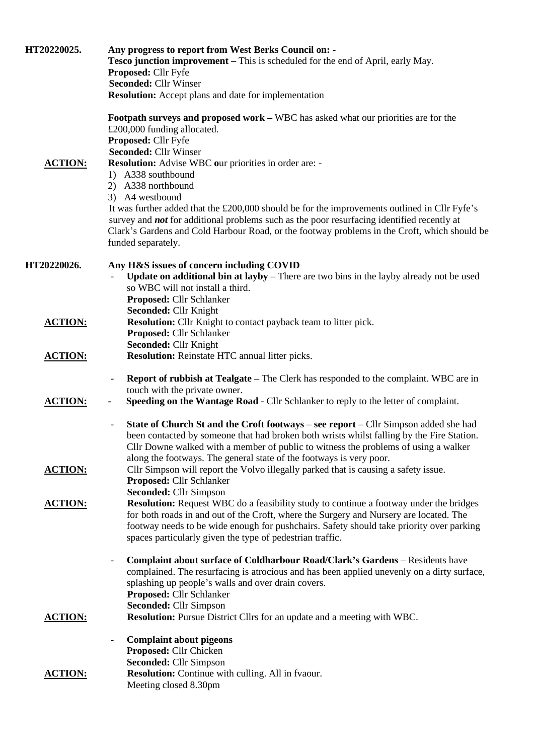| HT20220025.    | Any progress to report from West Berks Council on: -<br>Tesco junction improvement - This is scheduled for the end of April, early May.<br>Proposed: Cllr Fyfe<br><b>Seconded: Cllr Winser</b><br><b>Resolution:</b> Accept plans and date for implementation                                                                                                                                                                                                                                                                                                                                                                |
|----------------|------------------------------------------------------------------------------------------------------------------------------------------------------------------------------------------------------------------------------------------------------------------------------------------------------------------------------------------------------------------------------------------------------------------------------------------------------------------------------------------------------------------------------------------------------------------------------------------------------------------------------|
| <b>ACTION:</b> | Footpath surveys and proposed work - WBC has asked what our priorities are for the<br>£200,000 funding allocated.<br>Proposed: Cllr Fyfe<br><b>Seconded: Cllr Winser</b><br>Resolution: Advise WBC our priorities in order are: -<br>1) A338 southbound<br>2) A338 northbound<br>3) A4 westbound<br>It was further added that the £200,000 should be for the improvements outlined in Cllr Fyfe's<br>survey and <b>not</b> for additional problems such as the poor resurfacing identified recently at<br>Clark's Gardens and Cold Harbour Road, or the footway problems in the Croft, which should be<br>funded separately. |
| HT20220026.    | Any H&S issues of concern including COVID<br><b>Update on additional bin at layby</b> – There are two bins in the layby already not be used<br>so WBC will not install a third.<br>Proposed: Cllr Schlanker                                                                                                                                                                                                                                                                                                                                                                                                                  |
| <b>ACTION:</b> | Seconded: Cllr Knight<br><b>Resolution:</b> Cllr Knight to contact payback team to litter pick.<br>Proposed: Cllr Schlanker                                                                                                                                                                                                                                                                                                                                                                                                                                                                                                  |
| <b>ACTION:</b> | Seconded: Cllr Knight<br>Resolution: Reinstate HTC annual litter picks.                                                                                                                                                                                                                                                                                                                                                                                                                                                                                                                                                      |
| <b>ACTION:</b> | <b>Report of rubbish at Tealgate – The Clerk has responded to the complaint. WBC are in</b><br>$\qquad \qquad -$<br>touch with the private owner.<br>Speeding on the Wantage Road - Cllr Schlanker to reply to the letter of complaint.<br>۰                                                                                                                                                                                                                                                                                                                                                                                 |
| <b>ACTION:</b> | State of Church St and the Croft footways – see report – Cllr Simpson added she had<br>been contacted by someone that had broken both wrists whilst falling by the Fire Station.<br>Cllr Downe walked with a member of public to witness the problems of using a walker<br>along the footways. The general state of the footways is very poor.<br>Cllr Simpson will report the Volvo illegally parked that is causing a safety issue.<br>Proposed: Cllr Schlanker<br><b>Seconded: Cllr Simpson</b>                                                                                                                           |
| <b>ACTION:</b> | <b>Resolution:</b> Request WBC do a feasibility study to continue a footway under the bridges<br>for both roads in and out of the Croft, where the Surgery and Nursery are located. The<br>footway needs to be wide enough for pushchairs. Safety should take priority over parking<br>spaces particularly given the type of pedestrian traffic.                                                                                                                                                                                                                                                                             |
|                | <b>Complaint about surface of Coldharbour Road/Clark's Gardens - Residents have</b><br>complained. The resurfacing is atrocious and has been applied unevenly on a dirty surface,<br>splashing up people's walls and over drain covers.<br>Proposed: Cllr Schlanker<br><b>Seconded: Cllr Simpson</b>                                                                                                                                                                                                                                                                                                                         |
| <b>ACTION:</b> | <b>Resolution:</b> Pursue District Cllrs for an update and a meeting with WBC.<br><b>Complaint about pigeons</b>                                                                                                                                                                                                                                                                                                                                                                                                                                                                                                             |
|                | Proposed: Cllr Chicken<br><b>Seconded: Cllr Simpson</b>                                                                                                                                                                                                                                                                                                                                                                                                                                                                                                                                                                      |
| <b>ACTION:</b> | Resolution: Continue with culling. All in fvaour.<br>Meeting closed 8.30pm                                                                                                                                                                                                                                                                                                                                                                                                                                                                                                                                                   |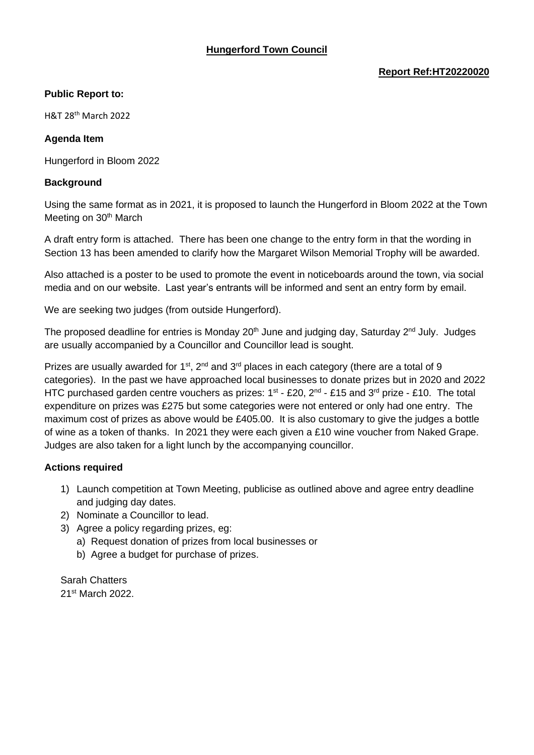# **Hungerford Town Council**

#### **Report Ref:HT20220020**

#### **Public Report to:**

H&T 28th March 2022

#### **Agenda Item**

Hungerford in Bloom 2022

### **Background**

Using the same format as in 2021, it is proposed to launch the Hungerford in Bloom 2022 at the Town Meeting on 30<sup>th</sup> March

A draft entry form is attached. There has been one change to the entry form in that the wording in Section 13 has been amended to clarify how the Margaret Wilson Memorial Trophy will be awarded.

Also attached is a poster to be used to promote the event in noticeboards around the town, via social media and on our website. Last year's entrants will be informed and sent an entry form by email.

We are seeking two judges (from outside Hungerford).

The proposed deadline for entries is Monday 20<sup>th</sup> June and judging day, Saturday 2<sup>nd</sup> July. Judges are usually accompanied by a Councillor and Councillor lead is sought.

Prizes are usually awarded for 1<sup>st</sup>, 2<sup>nd</sup> and 3<sup>rd</sup> places in each category (there are a total of 9 categories). In the past we have approached local businesses to donate prizes but in 2020 and 2022 HTC purchased garden centre vouchers as prizes:  $1^{st}$  - £20,  $2^{nd}$  - £15 and 3<sup>rd</sup> prize - £10. The total expenditure on prizes was £275 but some categories were not entered or only had one entry. The maximum cost of prizes as above would be £405.00. It is also customary to give the judges a bottle of wine as a token of thanks. In 2021 they were each given a £10 wine voucher from Naked Grape. Judges are also taken for a light lunch by the accompanying councillor.

# **Actions required**

- 1) Launch competition at Town Meeting, publicise as outlined above and agree entry deadline and judging day dates.
- 2) Nominate a Councillor to lead.
- 3) Agree a policy regarding prizes, eg:
	- a) Request donation of prizes from local businesses or
	- b) Agree a budget for purchase of prizes.

Sarah Chatters 21<sup>st</sup> March 2022.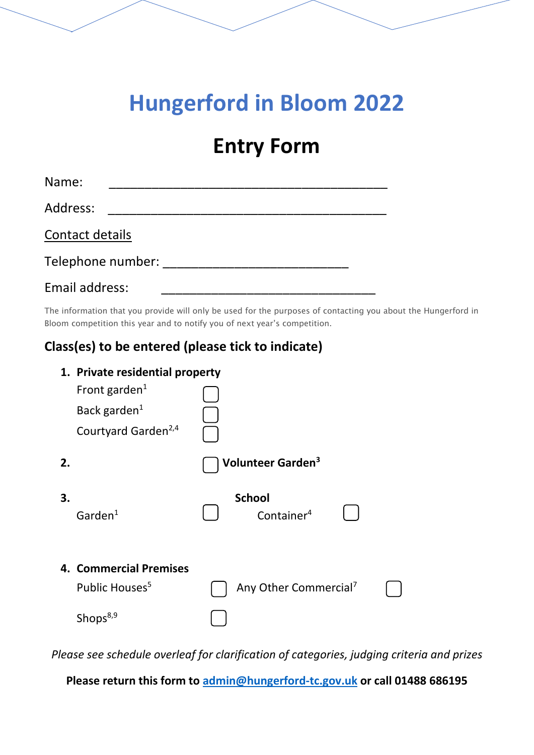# **Hungerford in Bloom 2022**

# **Entry Form**

| Name:             |  |  |  |
|-------------------|--|--|--|
| Address:          |  |  |  |
| Contact details   |  |  |  |
| Telephone number: |  |  |  |
| Email address:    |  |  |  |

The information that you provide will only be used for the purposes of contacting you about the Hungerford in Bloom competition this year and to notify you of next year's competition.

# **Class(es) to be entered (please tick to indicate)**

|    | 1. Private residential property                      |  |                                         |  |  |  |  |
|----|------------------------------------------------------|--|-----------------------------------------|--|--|--|--|
|    | Front garden <sup>1</sup>                            |  |                                         |  |  |  |  |
|    | Back garden $1$                                      |  |                                         |  |  |  |  |
|    | Courtyard Garden <sup>2,4</sup>                      |  |                                         |  |  |  |  |
| 2. |                                                      |  | Volunteer Garden <sup>3</sup>           |  |  |  |  |
| 3. | Garden $1$                                           |  | <b>School</b><br>Container <sup>4</sup> |  |  |  |  |
|    | 4. Commercial Premises<br>Public Houses <sup>5</sup> |  | Any Other Commercial <sup>7</sup>       |  |  |  |  |
|    | Shops <sup>8,9</sup>                                 |  |                                         |  |  |  |  |

*Please see schedule overleaf for clarification of categories, judging criteria and prizes*

**Please return this form to [admin@hungerford-tc.gov.uk](mailto:admin@hungerford-tc.gov.uk) or call 01488 686195**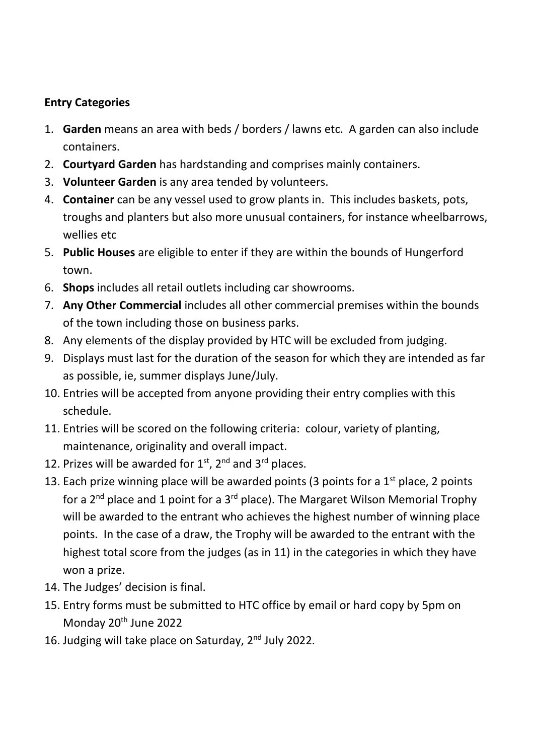# **Entry Categories**

- 1. **Garden** means an area with beds / borders / lawns etc. A garden can also include containers.
- 2. **Courtyard Garden** has hardstanding and comprises mainly containers.
- 3. **Volunteer Garden** is any area tended by volunteers.
- 4. **Container** can be any vessel used to grow plants in. This includes baskets, pots, troughs and planters but also more unusual containers, for instance wheelbarrows, wellies etc
- 5. **Public Houses** are eligible to enter if they are within the bounds of Hungerford town.
- 6. **Shops** includes all retail outlets including car showrooms.
- 7. **Any Other Commercial** includes all other commercial premises within the bounds of the town including those on business parks.
- 8. Any elements of the display provided by HTC will be excluded from judging.
- 9. Displays must last for the duration of the season for which they are intended as far as possible, ie, summer displays June/July.
- 10. Entries will be accepted from anyone providing their entry complies with this schedule.
- 11. Entries will be scored on the following criteria: colour, variety of planting, maintenance, originality and overall impact.
- 12. Prizes will be awarded for  $1^{st}$ ,  $2^{nd}$  and  $3^{rd}$  places.
- 13. Each prize winning place will be awarded points (3 points for a  $1<sup>st</sup>$  place, 2 points for a  $2^{nd}$  place and 1 point for a  $3^{rd}$  place). The Margaret Wilson Memorial Trophy will be awarded to the entrant who achieves the highest number of winning place points. In the case of a draw, the Trophy will be awarded to the entrant with the highest total score from the judges (as in 11) in the categories in which they have won a prize.
- 14. The Judges' decision is final.
- 15. Entry forms must be submitted to HTC office by email or hard copy by 5pm on Monday 20<sup>th</sup> June 2022
- 16. Judging will take place on Saturday, 2<sup>nd</sup> July 2022.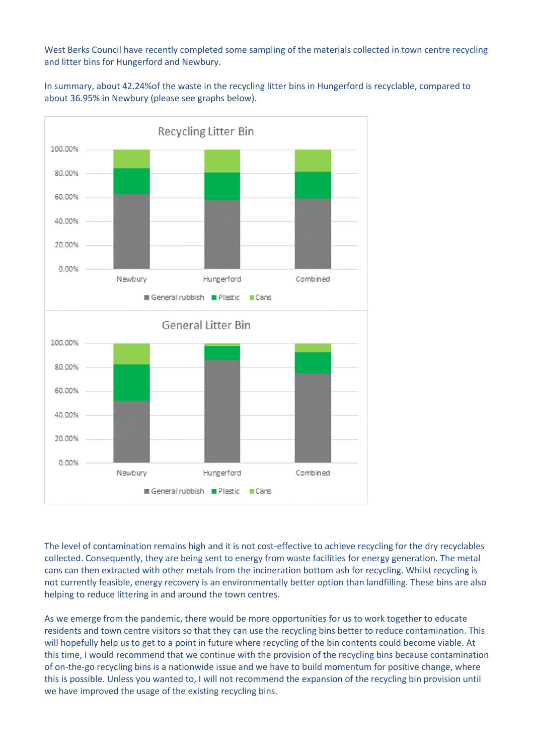West Berks Council have recently completed some sampling of the materials collected in town centre recycling and litter bins for Hungerford and Newbury.

In summary, about 42.24%of the waste in the recycling litter bins in Hungerford is recyclable, compared to about 36.95% in Newbury (please see graphs below).



The level of contamination remains high and it is not cost-effective to achieve recycling for the dry recyclables collected. Consequently, they are being sent to energy from waste facilities for energy generation. The metal cans can then extracted with other metals from the incineration bottom ash for recycling. Whilst recycling is not currently feasible, energy recovery is an environmentally better option than landfilling. These bins are also helping to reduce littering in and around the town centres.

As we emerge from the pandemic, there would be more opportunities for us to work together to educate residents and town centre visitors so that they can use the recycling bins better to reduce contamination. This will hopefully help us to get to a point in future where recycling of the bin contents could become viable. At this time, I would recommend that we continue with the provision of the recycling bins because contamination of on-the-go recycling bins is a nationwide issue and we have to build momentum for positive change, where this is possible. Unless you wanted to, I will not recommend the expansion of the recycling bin provision until we have improved the usage of the existing recycling bins.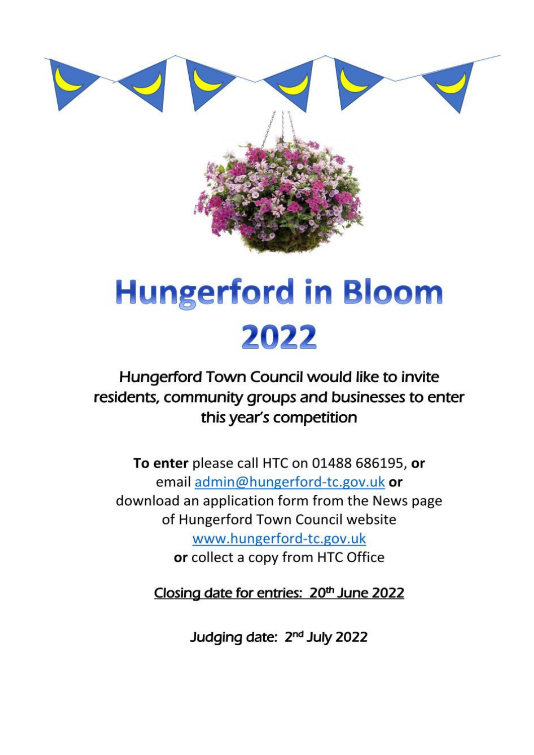

# **Hungerford in Bloom** 2022

Hungerford Town Council would like to invite residents, community groups and businesses to enter this year's competition

To enter please call HTC on 01488 686195, or email admin@hungerford-tc.gov.uk or download an application form from the News page of Hungerford Town Council website www.hungerford-tc.gov.uk or collect a copy from HTC Office

Closing date for entries: 20<sup>th</sup> June 2022

Judging date: 2<sup>nd</sup> July 2022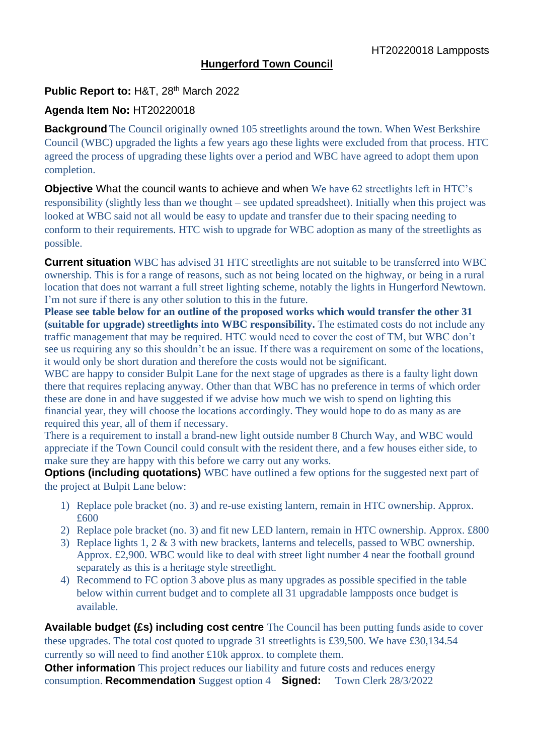# **Hungerford Town Council**

# **Public Report to:** H&T, 28th March 2022

# **Agenda Item No:** HT20220018

**Background** The Council originally owned 105 streetlights around the town. When West Berkshire Council (WBC) upgraded the lights a few years ago these lights were excluded from that process. HTC agreed the process of upgrading these lights over a period and WBC have agreed to adopt them upon completion.

**Objective** What the council wants to achieve and when We have 62 streetlights left in HTC's responsibility (slightly less than we thought – see updated spreadsheet). Initially when this project was looked at WBC said not all would be easy to update and transfer due to their spacing needing to conform to their requirements. HTC wish to upgrade for WBC adoption as many of the streetlights as possible.

**Current situation** WBC has advised 31 HTC streetlights are not suitable to be transferred into WBC ownership. This is for a range of reasons, such as not being located on the highway, or being in a rural location that does not warrant a full street lighting scheme, notably the lights in Hungerford Newtown. I'm not sure if there is any other solution to this in the future.

**Please see table below for an outline of the proposed works which would transfer the other 31 (suitable for upgrade) streetlights into WBC responsibility.** The estimated costs do not include any traffic management that may be required. HTC would need to cover the cost of TM, but WBC don't see us requiring any so this shouldn't be an issue. If there was a requirement on some of the locations, it would only be short duration and therefore the costs would not be significant.

WBC are happy to consider Bulpit Lane for the next stage of upgrades as there is a faulty light down there that requires replacing anyway. Other than that WBC has no preference in terms of which order these are done in and have suggested if we advise how much we wish to spend on lighting this financial year, they will choose the locations accordingly. They would hope to do as many as are required this year, all of them if necessary.

There is a requirement to install a brand-new light outside number 8 Church Way, and WBC would appreciate if the Town Council could consult with the resident there, and a few houses either side, to make sure they are happy with this before we carry out any works.

**Options (including quotations)** WBC have outlined a few options for the suggested next part of the project at Bulpit Lane below:

- 1) Replace pole bracket (no. 3) and re-use existing lantern, remain in HTC ownership. Approx. £600
- 2) Replace pole bracket (no. 3) and fit new LED lantern, remain in HTC ownership. Approx. £800
- 3) Replace lights 1, 2 & 3 with new brackets, lanterns and telecells, passed to WBC ownership. Approx. £2,900. WBC would like to deal with street light number 4 near the football ground separately as this is a heritage style streetlight.
- 4) Recommend to FC option 3 above plus as many upgrades as possible specified in the table below within current budget and to complete all 31 upgradable lampposts once budget is available.

**Available budget (£s) including cost centre** The Council has been putting funds aside to cover these upgrades. The total cost quoted to upgrade 31 streetlights is £39,500. We have £30,134.54 currently so will need to find another £10k approx. to complete them.

**Other information** This project reduces our liability and future costs and reduces energy consumption. **Recommendation** Suggest option 4 **Signed:** Town Clerk 28/3/2022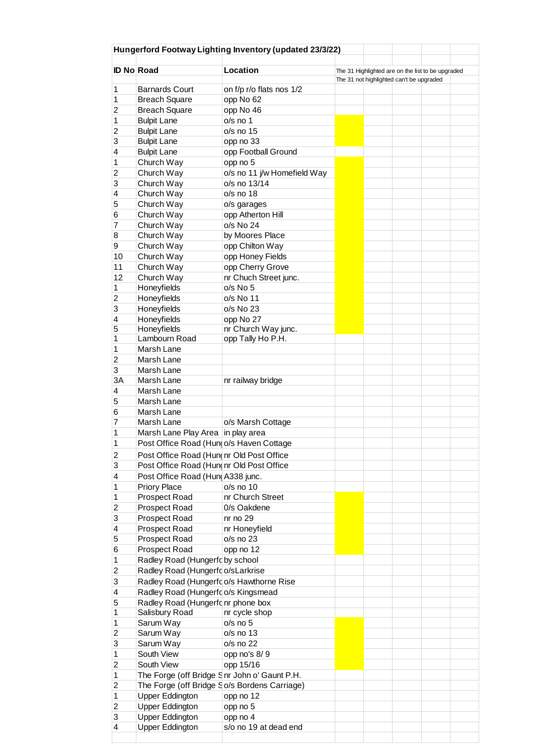|                   |                                              | Hungerford Footway Lighting Inventory (updated 23/3/22) |                                                   |  |                                          |  |  |
|-------------------|----------------------------------------------|---------------------------------------------------------|---------------------------------------------------|--|------------------------------------------|--|--|
| <b>ID No Road</b> |                                              | Location                                                | The 31 Highlighted are on the list to be upgraded |  |                                          |  |  |
|                   |                                              |                                                         |                                                   |  | The 31 not highlighted can't be upgraded |  |  |
| 1                 | <b>Barnards Court</b>                        | on f/p r/o flats nos 1/2                                |                                                   |  |                                          |  |  |
| 1                 | <b>Breach Square</b>                         | opp No 62                                               |                                                   |  |                                          |  |  |
| 2                 | <b>Breach Square</b>                         | opp No 46                                               |                                                   |  |                                          |  |  |
| 1                 | <b>Bulpit Lane</b>                           | $o/s$ no 1                                              |                                                   |  |                                          |  |  |
| 2                 | <b>Bulpit Lane</b>                           | $o/s$ no $15$                                           |                                                   |  |                                          |  |  |
| 3                 | <b>Bulpit Lane</b>                           | opp no 33                                               |                                                   |  |                                          |  |  |
| 4                 | <b>Bulpit Lane</b>                           | opp Football Ground                                     |                                                   |  |                                          |  |  |
| 1                 | Church Way                                   | opp no 5                                                |                                                   |  |                                          |  |  |
| $\overline{2}$    | Church Way                                   | o/s no 11 j/w Homefield Way                             |                                                   |  |                                          |  |  |
| 3                 | Church Way                                   | o/s no 13/14                                            |                                                   |  |                                          |  |  |
| 4                 | Church Way                                   | o/s no 18                                               |                                                   |  |                                          |  |  |
| 5                 | Church Way                                   | o/s garages                                             |                                                   |  |                                          |  |  |
| 6                 | Church Way                                   | opp Atherton Hill                                       |                                                   |  |                                          |  |  |
| 7                 | Church Way                                   | o/s No 24                                               |                                                   |  |                                          |  |  |
| 8                 | Church Way                                   | by Moores Place                                         |                                                   |  |                                          |  |  |
| 9                 | Church Way                                   | opp Chilton Way                                         |                                                   |  |                                          |  |  |
| 10                | Church Way                                   | opp Honey Fields                                        |                                                   |  |                                          |  |  |
| 11                | Church Way                                   | opp Cherry Grove                                        |                                                   |  |                                          |  |  |
| 12                | Church Way                                   | nr Chuch Street junc.                                   |                                                   |  |                                          |  |  |
| 1                 | Honeyfields                                  | o/s No 5                                                |                                                   |  |                                          |  |  |
| $\overline{2}$    | Honeyfields                                  | o/s No 11                                               |                                                   |  |                                          |  |  |
| 3                 | Honeyfields                                  | o/s No 23                                               |                                                   |  |                                          |  |  |
| 4                 | Honeyfields                                  | opp No 27                                               |                                                   |  |                                          |  |  |
| 5                 | Honeyfields                                  | nr Church Way junc.                                     |                                                   |  |                                          |  |  |
| 1                 | Lambourn Road                                | opp Tally Ho P.H.                                       |                                                   |  |                                          |  |  |
| 1                 | Marsh Lane                                   |                                                         |                                                   |  |                                          |  |  |
| 2                 | Marsh Lane                                   |                                                         |                                                   |  |                                          |  |  |
| 3                 | Marsh Lane                                   |                                                         |                                                   |  |                                          |  |  |
| 3A                | Marsh Lane                                   | nr railway bridge                                       |                                                   |  |                                          |  |  |
| 4                 | Marsh Lane                                   |                                                         |                                                   |  |                                          |  |  |
| 5                 | Marsh Lane                                   |                                                         |                                                   |  |                                          |  |  |
|                   |                                              |                                                         |                                                   |  |                                          |  |  |
| 6                 | Marsh Lane                                   |                                                         |                                                   |  |                                          |  |  |
| 7                 | Marsh Lane                                   | o/s Marsh Cottage                                       |                                                   |  |                                          |  |  |
| 1                 | Marsh Lane Play Area in play area            |                                                         |                                                   |  |                                          |  |  |
| 1                 | Post Office Road (Hun o/s Haven Cottage      |                                                         |                                                   |  |                                          |  |  |
| $\overline{c}$    | Post Office Road (Hundnr Old Post Office     |                                                         |                                                   |  |                                          |  |  |
| 3                 | Post Office Road (Hundnr Old Post Office     |                                                         |                                                   |  |                                          |  |  |
| 4                 | Post Office Road (Hun A338 junc.             |                                                         |                                                   |  |                                          |  |  |
| 1                 | Priory Place                                 | $o/s$ no $10$                                           |                                                   |  |                                          |  |  |
| 1                 | Prospect Road                                | nr Church Street                                        |                                                   |  |                                          |  |  |
| 2                 | Prospect Road                                | 0/s Oakdene                                             |                                                   |  |                                          |  |  |
| 3                 | Prospect Road                                | $nr$ no $29$                                            |                                                   |  |                                          |  |  |
| 4                 | Prospect Road                                | nr Honeyfield                                           |                                                   |  |                                          |  |  |
| 5                 | Prospect Road                                | o/s no 23                                               |                                                   |  |                                          |  |  |
| 6                 | Prospect Road                                | opp no 12                                               |                                                   |  |                                          |  |  |
| 1                 | Radley Road (Hungerfd by school              |                                                         |                                                   |  |                                          |  |  |
| $\overline{2}$    | Radley Road (Hungerfdo/sLarkrise             |                                                         |                                                   |  |                                          |  |  |
| 3                 | Radley Road (Hungerfdo/s Hawthorne Rise      |                                                         |                                                   |  |                                          |  |  |
|                   |                                              |                                                         |                                                   |  |                                          |  |  |
| 4                 | Radley Road (Hungerfdo/s Kingsmead           |                                                         |                                                   |  |                                          |  |  |
| 5                 | Radley Road (Hungerfd nr phone box           |                                                         |                                                   |  |                                          |  |  |
| 1                 | Salisbury Road                               | nr cycle shop                                           |                                                   |  |                                          |  |  |
| 1                 | Sarum Way                                    | $o/s$ no $5$                                            |                                                   |  |                                          |  |  |
| 2                 | Sarum Way                                    | o/s no 13                                               |                                                   |  |                                          |  |  |
| 3                 | Sarum Way                                    | o/s no 22                                               |                                                   |  |                                          |  |  |
| 1                 | South View                                   | opp no's 8/9                                            |                                                   |  |                                          |  |  |
| 2                 | South View                                   | opp 15/16                                               |                                                   |  |                                          |  |  |
| 1                 | The Forge (off Bridge Snr John o' Gaunt P.H. |                                                         |                                                   |  |                                          |  |  |
| 2                 | The Forge (off Bridge So/s Bordens Carriage) |                                                         |                                                   |  |                                          |  |  |
| 1                 | <b>Upper Eddington</b>                       | opp no 12                                               |                                                   |  |                                          |  |  |
| 2                 | <b>Upper Eddington</b>                       | opp no 5                                                |                                                   |  |                                          |  |  |
| 3                 | <b>Upper Eddington</b>                       | opp no 4                                                |                                                   |  |                                          |  |  |
| 4                 | Upper Eddington                              | s/o no 19 at dead end                                   |                                                   |  |                                          |  |  |
|                   |                                              |                                                         |                                                   |  |                                          |  |  |
|                   |                                              |                                                         |                                                   |  |                                          |  |  |